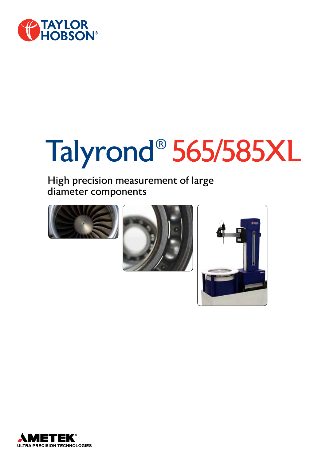

# Talyrond® 565/585XL

High precision measurement of large diameter components







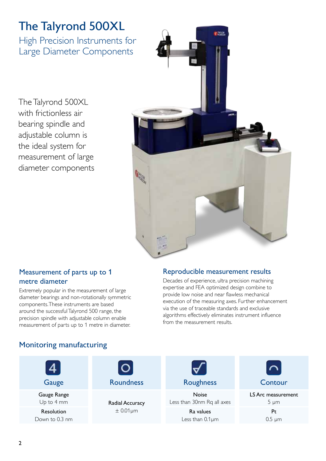# The Talyrond 500XL

High Precision Instruments for Large Diameter Components

The Talyrond 500XL with frictionless air bearing spindle and adjustable column is the ideal system for measurement of large diameter components



# Measurement of parts up to 1 metre diameter

Extremely popular in the measurement of large diameter bearings and non-rotationally symmetric components. These instruments are based around the successful Talyrond 500 range, the precision spindle with adjustable column enable measurement of parts up to 1 metre in diameter.

# Reproducible measurement results

Decades of experience, ultra precision machining expertise and FEA optimized design combine to provide low noise and near flawless mechanical execution of the measuring axes. Further enhancement via the use of traceable standards and exclusive algorithms effectively eliminates instrument influence from the measurement results.

# Monitoring manufacturing

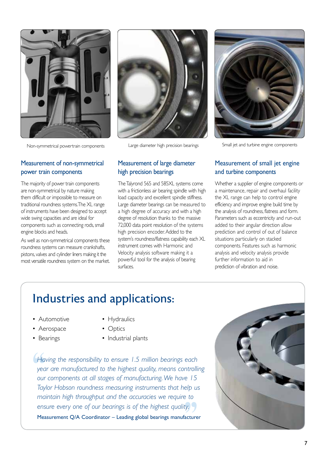

Non-symmetrical powertrain components Large diameter high precision bearings Small jet and turbine engine components

# Measurement of non-symmetrical power train components

The majority of power train components are non-symmetrical by nature making them difficult or impossible to measure on traditional roundness systems. The XL range of instruments have been designed to accept wide swing capacities and are ideal for components such as connecting rods, small engine blocks and heads.

As well as non-symmetrical components these roundness systems can measure crankshafts, pistons, valves and cylinder liners making it the most versatile roundness system on the market.



# Measurement of large diameter high precision bearings

The Talyrond 565 and 585XL systems come with a frictionless air bearing spindle with high load capacity and excellent spindle stiffness. Large diameter bearings can be measured to a high degree of accuracy and with a high degree of resolution thanks to the massive 72,000 data point resolution of the systems high precision encoder. Added to the system's roundness/flatness capability each XL instrument comes with Harmonic and Velocity analysis software making it a powerful tool for the analysis of bearing surfaces.



# Measurement of small jet engine and turbine components

Whether a supplier of engine components or a maintenance, repair and overhaul facility the XL range can help to control engine efficiency and improve engine build time by the analysis of roundness, flatness and form. Parameters such as eccentricity and run-out added to their angular direction allow prediction and control of out of balance situations particularly on stacked components. Features such as harmonic analysis and velocity analysis provide further information to aid in prediction of vibration and noise.

# Industries and applications:

- Automotive
- Hydraulics
- Aerospace
- Bearings
- Optics
- Industrial plants

Hav<br>yea<br>our<br>Tayl ty. )<br>facture *Having the responsibility to ensure 1.5 million bearings each year are manufactured to the highest quality, means controlling our components at all stages of manufacturing. We have 15 Taylor Hobson roundness measuring instruments that help us maintain high throughput and the accuracies we require to ensure every one of our bearings is of the highest quality.*  Measurement Q/A Coordinator – Leading global bearings manufacturer